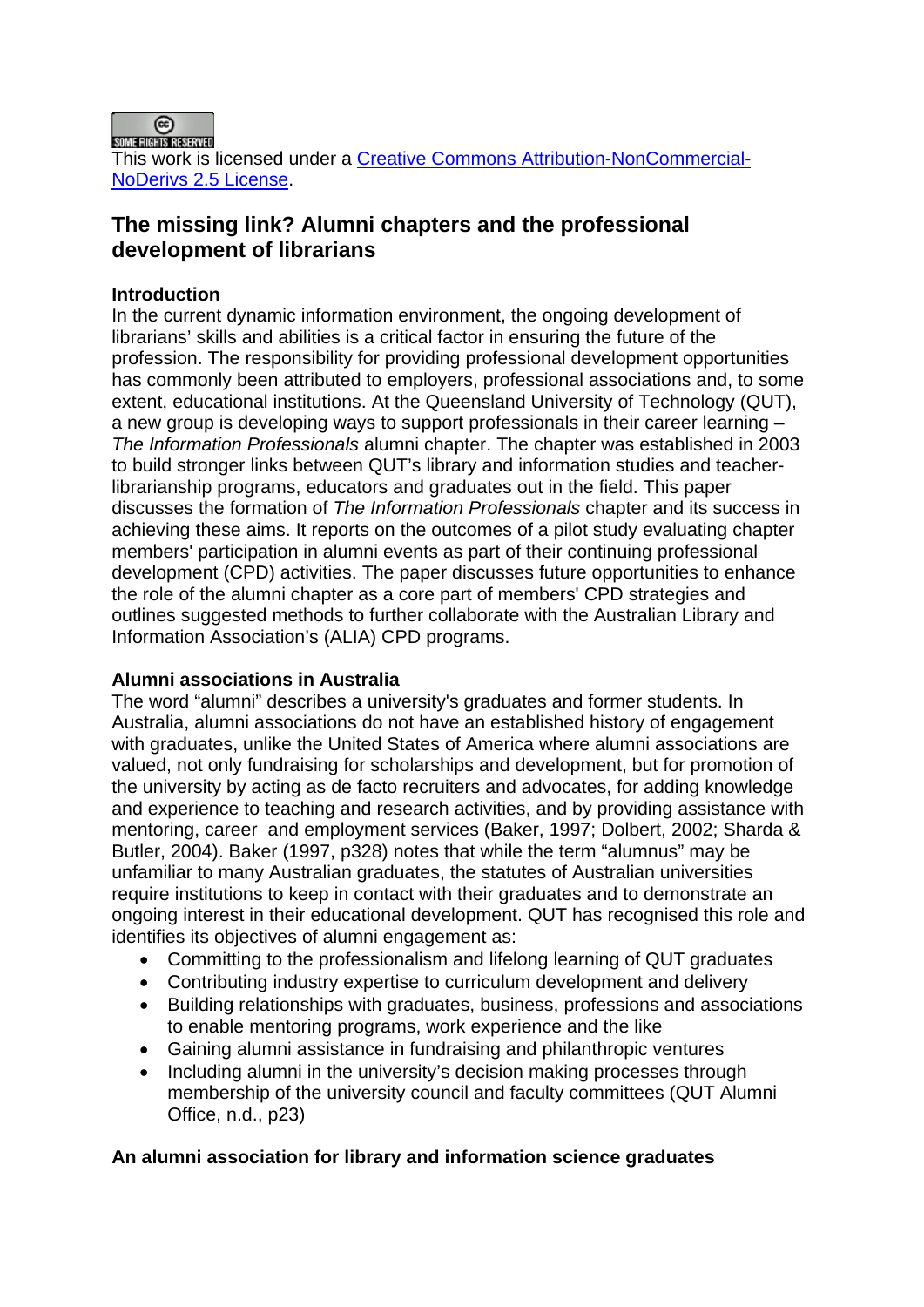

# **The missing link? Alumni chapters and the professional development of librarians**

## **Introduction**

In the current dynamic information environment, the ongoing development of librarians' skills and abilities is a critical factor in ensuring the future of the profession. The responsibility for providing professional development opportunities has commonly been attributed to employers, professional associations and, to some extent, educational institutions. At the Queensland University of Technology (QUT), a new group is developing ways to support professionals in their career learning – *The Information Professionals* alumni chapter. The chapter was established in 2003 to build stronger links between QUT's library and information studies and teacherlibrarianship programs, educators and graduates out in the field. This paper discusses the formation of *The Information Professionals* chapter and its success in achieving these aims. It reports on the outcomes of a pilot study evaluating chapter members' participation in alumni events as part of their continuing professional development (CPD) activities. The paper discusses future opportunities to enhance the role of the alumni chapter as a core part of members' CPD strategies and outlines suggested methods to further collaborate with the Australian Library and Information Association's (ALIA) CPD programs.

## **Alumni associations in Australia**

The word "alumni" describes a university's graduates and former students. In Australia, alumni associations do not have an established history of engagement with graduates, unlike the United States of America where alumni associations are valued, not only fundraising for scholarships and development, but for promotion of the university by acting as de facto recruiters and advocates, for adding knowledge and experience to teaching and research activities, and by providing assistance with mentoring, career and employment services (Baker, 1997; Dolbert, 2002; Sharda & Butler, 2004). Baker (1997, p328) notes that while the term "alumnus" may be unfamiliar to many Australian graduates, the statutes of Australian universities require institutions to keep in contact with their graduates and to demonstrate an ongoing interest in their educational development. QUT has recognised this role and identifies its objectives of alumni engagement as:

- Committing to the professionalism and lifelong learning of QUT graduates
- Contributing industry expertise to curriculum development and delivery
- Building relationships with graduates, business, professions and associations to enable mentoring programs, work experience and the like
- Gaining alumni assistance in fundraising and philanthropic ventures
- Including alumni in the university's decision making processes through membership of the university council and faculty committees (QUT Alumni Office, n.d., p23)

# **An alumni association for library and information science graduates**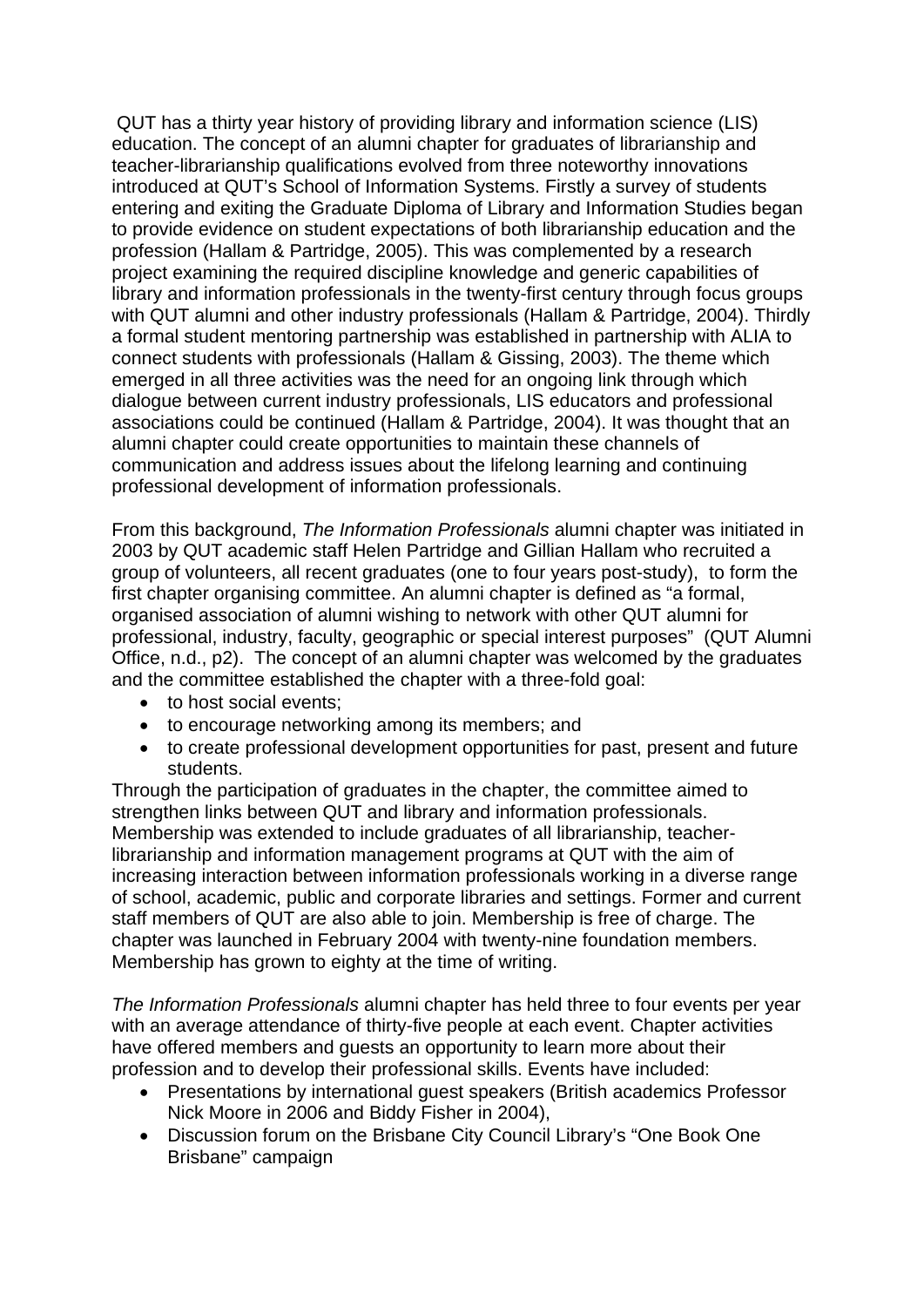QUT has a thirty year history of providing library and information science (LIS) education. The concept of an alumni chapter for graduates of librarianship and teacher-librarianship qualifications evolved from three noteworthy innovations introduced at QUT's School of Information Systems. Firstly a survey of students entering and exiting the Graduate Diploma of Library and Information Studies began to provide evidence on student expectations of both librarianship education and the profession (Hallam & Partridge, 2005). This was complemented by a research project examining the required discipline knowledge and generic capabilities of library and information professionals in the twenty-first century through focus groups with QUT alumni and other industry professionals (Hallam & Partridge, 2004). Thirdly a formal student mentoring partnership was established in partnership with ALIA to connect students with professionals (Hallam & Gissing, 2003). The theme which emerged in all three activities was the need for an ongoing link through which dialogue between current industry professionals, LIS educators and professional associations could be continued (Hallam & Partridge, 2004). It was thought that an alumni chapter could create opportunities to maintain these channels of communication and address issues about the lifelong learning and continuing professional development of information professionals.

From this background, *The Information Professionals* alumni chapter was initiated in 2003 by QUT academic staff Helen Partridge and Gillian Hallam who recruited a group of volunteers, all recent graduates (one to four years post-study), to form the first chapter organising committee. An alumni chapter is defined as "a formal, organised association of alumni wishing to network with other QUT alumni for professional, industry, faculty, geographic or special interest purposes" (QUT Alumni Office, n.d., p2). The concept of an alumni chapter was welcomed by the graduates and the committee established the chapter with a three-fold goal:

- to host social events:
- to encourage networking among its members; and
- to create professional development opportunities for past, present and future students.

Through the participation of graduates in the chapter, the committee aimed to strengthen links between QUT and library and information professionals. Membership was extended to include graduates of all librarianship, teacherlibrarianship and information management programs at QUT with the aim of increasing interaction between information professionals working in a diverse range of school, academic, public and corporate libraries and settings. Former and current staff members of QUT are also able to join. Membership is free of charge. The chapter was launched in February 2004 with twenty-nine foundation members. Membership has grown to eighty at the time of writing.

*The Information Professionals* alumni chapter has held three to four events per year with an average attendance of thirty-five people at each event. Chapter activities have offered members and guests an opportunity to learn more about their profession and to develop their professional skills. Events have included:

- Presentations by international guest speakers (British academics Professor Nick Moore in 2006 and Biddy Fisher in 2004),
- Discussion forum on the Brisbane City Council Library's "One Book One Brisbane" campaign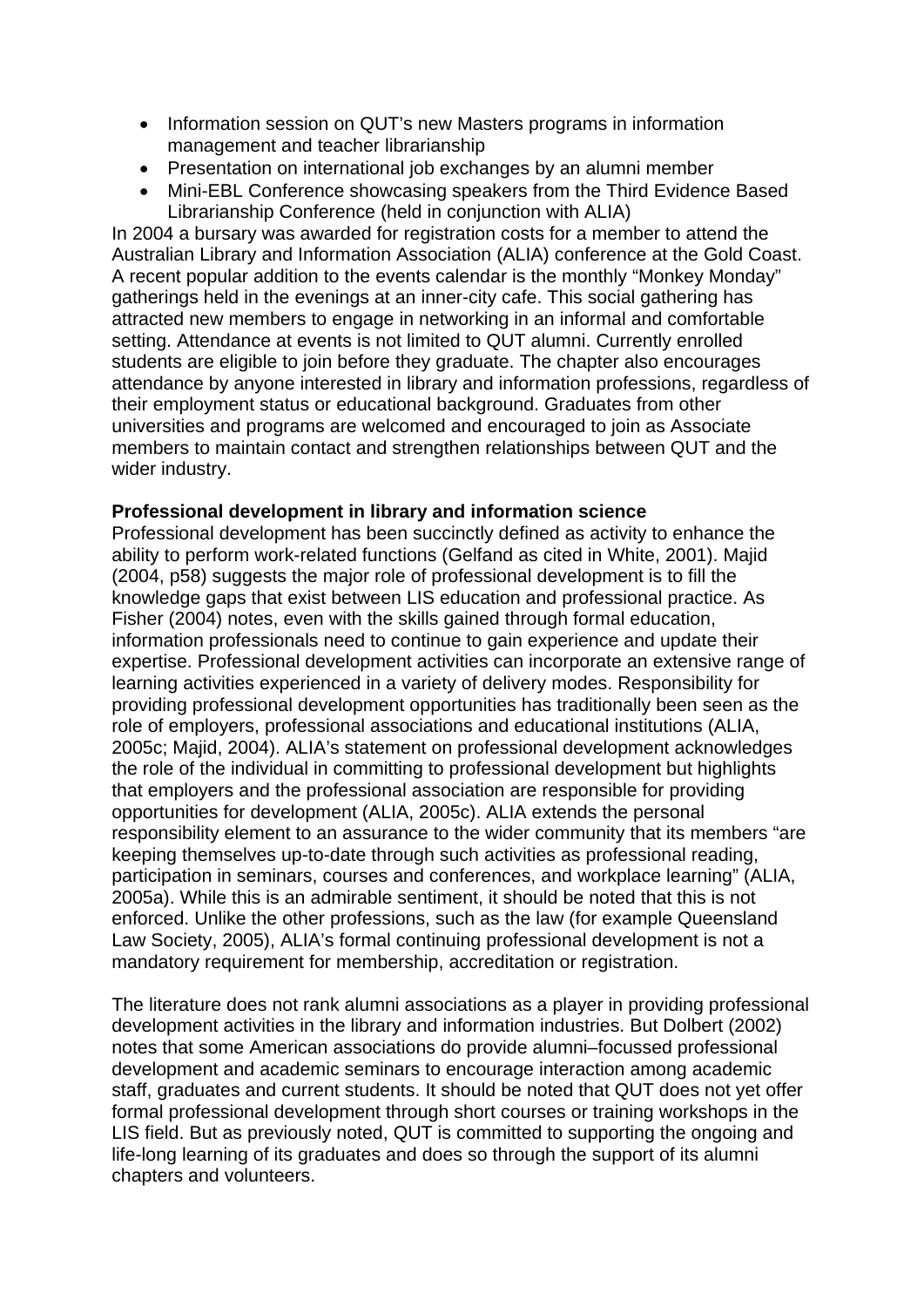- Information session on QUT's new Masters programs in information management and teacher librarianship
- Presentation on international job exchanges by an alumni member
- Mini-EBL Conference showcasing speakers from the Third Evidence Based Librarianship Conference (held in conjunction with ALIA)

In 2004 a bursary was awarded for registration costs for a member to attend the Australian Library and Information Association (ALIA) conference at the Gold Coast. A recent popular addition to the events calendar is the monthly "Monkey Monday" gatherings held in the evenings at an inner-city cafe. This social gathering has attracted new members to engage in networking in an informal and comfortable setting. Attendance at events is not limited to QUT alumni. Currently enrolled students are eligible to join before they graduate. The chapter also encourages attendance by anyone interested in library and information professions, regardless of their employment status or educational background. Graduates from other universities and programs are welcomed and encouraged to join as Associate members to maintain contact and strengthen relationships between QUT and the wider industry.

## **Professional development in library and information science**

Professional development has been succinctly defined as activity to enhance the ability to perform work-related functions (Gelfand as cited in White, 2001). Majid (2004, p58) suggests the major role of professional development is to fill the knowledge gaps that exist between LIS education and professional practice. As Fisher (2004) notes, even with the skills gained through formal education, information professionals need to continue to gain experience and update their expertise. Professional development activities can incorporate an extensive range of learning activities experienced in a variety of delivery modes. Responsibility for providing professional development opportunities has traditionally been seen as the role of employers, professional associations and educational institutions (ALIA, 2005c; Majid, 2004). ALIA's statement on professional development acknowledges the role of the individual in committing to professional development but highlights that employers and the professional association are responsible for providing opportunities for development (ALIA, 2005c). ALIA extends the personal responsibility element to an assurance to the wider community that its members "are keeping themselves up-to-date through such activities as professional reading, participation in seminars, courses and conferences, and workplace learning" (ALIA, 2005a). While this is an admirable sentiment, it should be noted that this is not enforced. Unlike the other professions, such as the law (for example Queensland Law Society, 2005), ALIA's formal continuing professional development is not a mandatory requirement for membership, accreditation or registration.

The literature does not rank alumni associations as a player in providing professional development activities in the library and information industries. But Dolbert (2002) notes that some American associations do provide alumni–focussed professional development and academic seminars to encourage interaction among academic staff, graduates and current students. It should be noted that QUT does not yet offer formal professional development through short courses or training workshops in the LIS field. But as previously noted, QUT is committed to supporting the ongoing and life-long learning of its graduates and does so through the support of its alumni chapters and volunteers.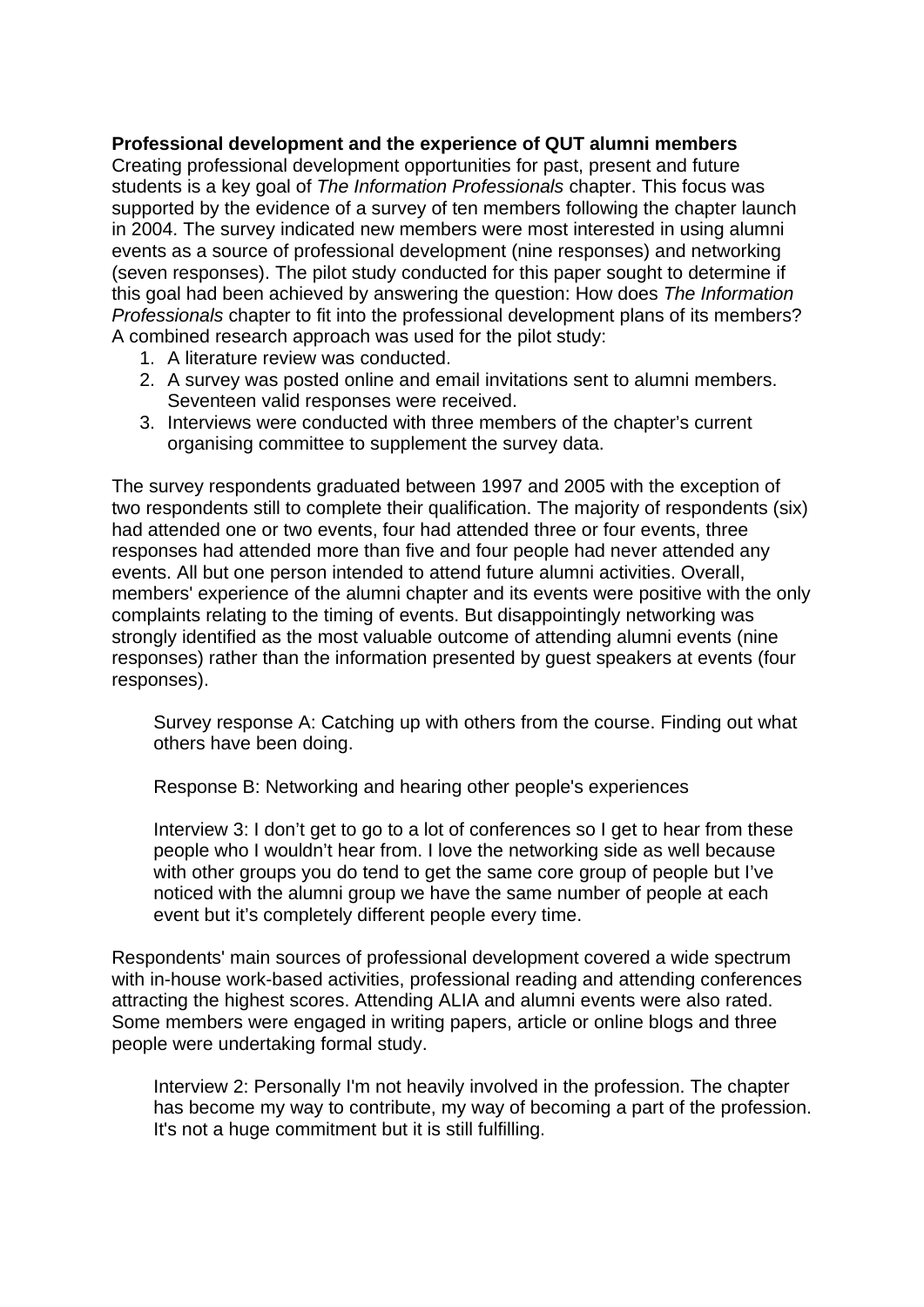#### **Professional development and the experience of QUT alumni members**

Creating professional development opportunities for past, present and future students is a key goal of *The Information Professionals* chapter. This focus was supported by the evidence of a survey of ten members following the chapter launch in 2004. The survey indicated new members were most interested in using alumni events as a source of professional development (nine responses) and networking (seven responses). The pilot study conducted for this paper sought to determine if this goal had been achieved by answering the question: How does *The Information Professionals* chapter to fit into the professional development plans of its members? A combined research approach was used for the pilot study:

- 1. A literature review was conducted.
- 2. A survey was posted online and email invitations sent to alumni members. Seventeen valid responses were received.
- 3. Interviews were conducted with three members of the chapter's current organising committee to supplement the survey data.

The survey respondents graduated between 1997 and 2005 with the exception of two respondents still to complete their qualification. The majority of respondents (six) had attended one or two events, four had attended three or four events, three responses had attended more than five and four people had never attended any events. All but one person intended to attend future alumni activities. Overall, members' experience of the alumni chapter and its events were positive with the only complaints relating to the timing of events. But disappointingly networking was strongly identified as the most valuable outcome of attending alumni events (nine responses) rather than the information presented by guest speakers at events (four responses).

Survey response A: Catching up with others from the course. Finding out what others have been doing.

Response B: Networking and hearing other people's experiences

Interview 3: I don't get to go to a lot of conferences so I get to hear from these people who I wouldn't hear from. I love the networking side as well because with other groups you do tend to get the same core group of people but I've noticed with the alumni group we have the same number of people at each event but it's completely different people every time.

Respondents' main sources of professional development covered a wide spectrum with in-house work-based activities, professional reading and attending conferences attracting the highest scores. Attending ALIA and alumni events were also rated. Some members were engaged in writing papers, article or online blogs and three people were undertaking formal study.

Interview 2: Personally I'm not heavily involved in the profession. The chapter has become my way to contribute, my way of becoming a part of the profession. It's not a huge commitment but it is still fulfilling.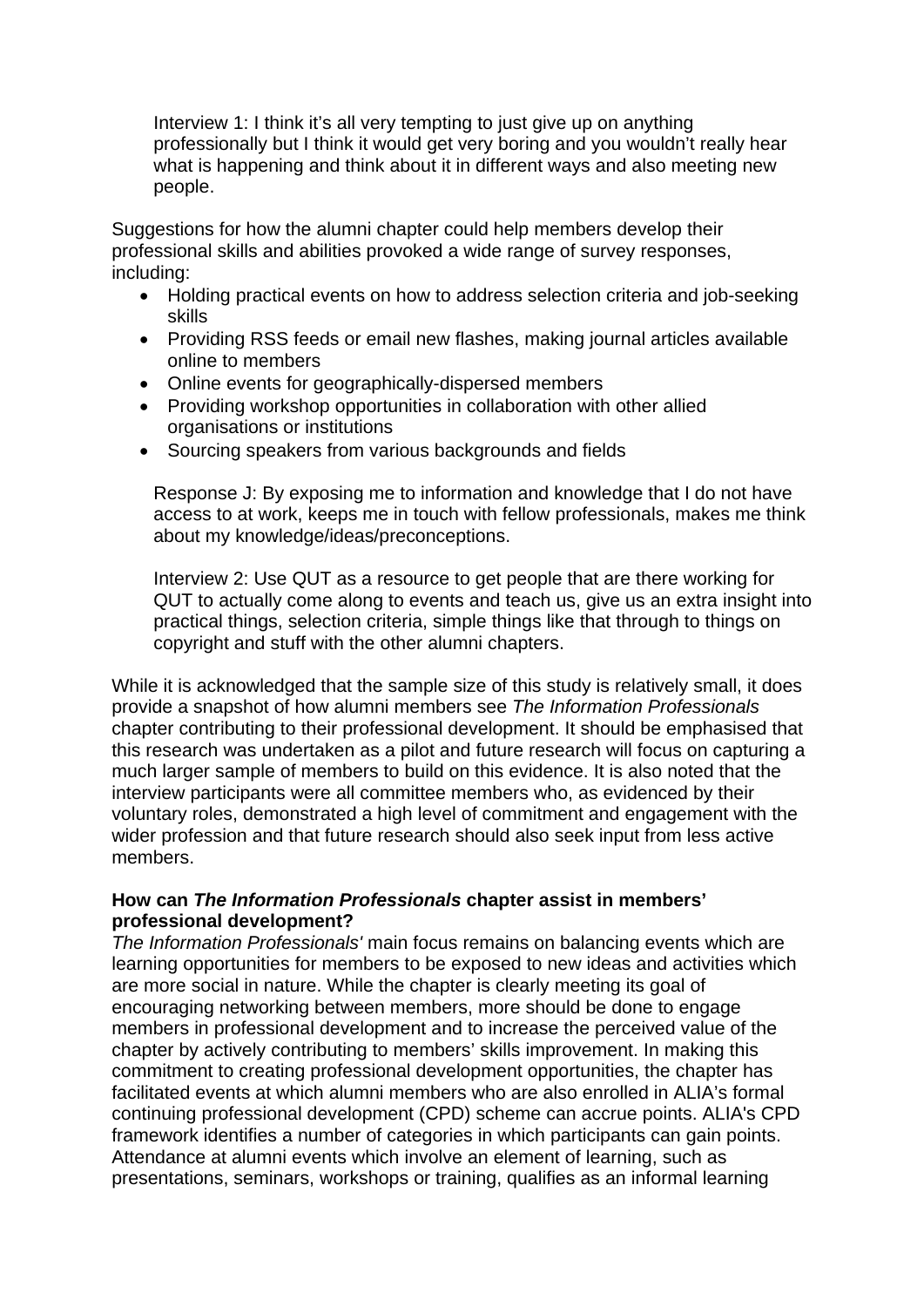Interview 1: I think it's all very tempting to just give up on anything professionally but I think it would get very boring and you wouldn't really hear what is happening and think about it in different ways and also meeting new people.

Suggestions for how the alumni chapter could help members develop their professional skills and abilities provoked a wide range of survey responses, including:

- Holding practical events on how to address selection criteria and job-seeking skills
- Providing RSS feeds or email new flashes, making journal articles available online to members
- Online events for geographically-dispersed members
- Providing workshop opportunities in collaboration with other allied organisations or institutions
- Sourcing speakers from various backgrounds and fields

Response J: By exposing me to information and knowledge that I do not have access to at work, keeps me in touch with fellow professionals, makes me think about my knowledge/ideas/preconceptions.

Interview 2: Use QUT as a resource to get people that are there working for QUT to actually come along to events and teach us, give us an extra insight into practical things, selection criteria, simple things like that through to things on copyright and stuff with the other alumni chapters.

While it is acknowledged that the sample size of this study is relatively small, it does provide a snapshot of how alumni members see *The Information Professionals* chapter contributing to their professional development. It should be emphasised that this research was undertaken as a pilot and future research will focus on capturing a much larger sample of members to build on this evidence. It is also noted that the interview participants were all committee members who, as evidenced by their voluntary roles, demonstrated a high level of commitment and engagement with the wider profession and that future research should also seek input from less active members.

#### **How can** *The Information Professionals* **chapter assist in members' professional development?**

*The Information Professionals'* main focus remains on balancing events which are learning opportunities for members to be exposed to new ideas and activities which are more social in nature. While the chapter is clearly meeting its goal of encouraging networking between members, more should be done to engage members in professional development and to increase the perceived value of the chapter by actively contributing to members' skills improvement. In making this commitment to creating professional development opportunities, the chapter has facilitated events at which alumni members who are also enrolled in ALIA's formal continuing professional development (CPD) scheme can accrue points. ALIA's CPD framework identifies a number of categories in which participants can gain points. Attendance at alumni events which involve an element of learning, such as presentations, seminars, workshops or training, qualifies as an informal learning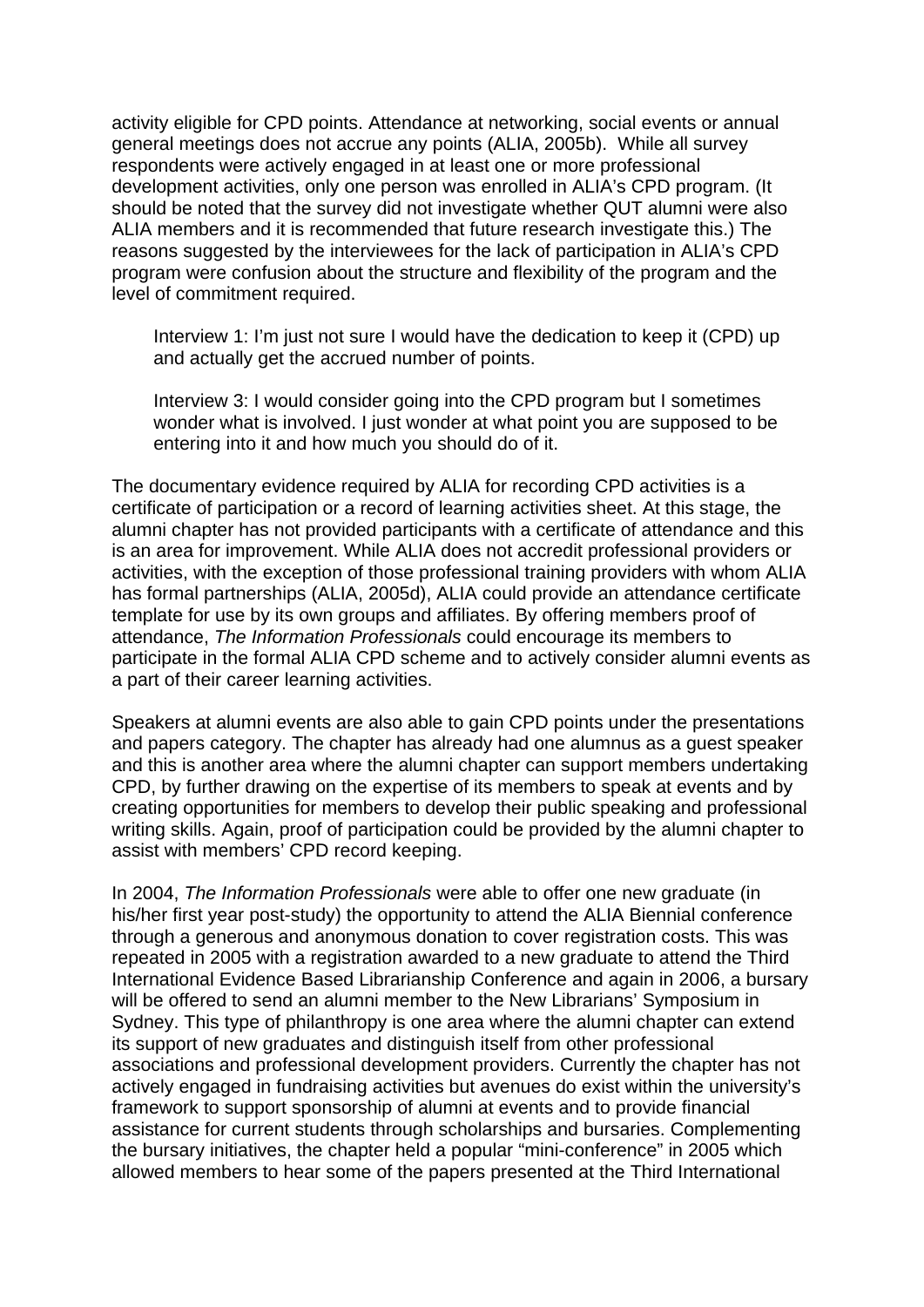activity eligible for CPD points. Attendance at networking, social events or annual general meetings does not accrue any points (ALIA, 2005b). While all survey respondents were actively engaged in at least one or more professional development activities, only one person was enrolled in ALIA's CPD program. (It should be noted that the survey did not investigate whether QUT alumni were also ALIA members and it is recommended that future research investigate this.) The reasons suggested by the interviewees for the lack of participation in ALIA's CPD program were confusion about the structure and flexibility of the program and the level of commitment required.

Interview 1: I'm just not sure I would have the dedication to keep it (CPD) up and actually get the accrued number of points.

Interview 3: I would consider going into the CPD program but I sometimes wonder what is involved. I just wonder at what point you are supposed to be entering into it and how much you should do of it.

The documentary evidence required by ALIA for recording CPD activities is a certificate of participation or a record of learning activities sheet. At this stage, the alumni chapter has not provided participants with a certificate of attendance and this is an area for improvement. While ALIA does not accredit professional providers or activities, with the exception of those professional training providers with whom ALIA has formal partnerships (ALIA, 2005d), ALIA could provide an attendance certificate template for use by its own groups and affiliates. By offering members proof of attendance, *The Information Professionals* could encourage its members to participate in the formal ALIA CPD scheme and to actively consider alumni events as a part of their career learning activities.

Speakers at alumni events are also able to gain CPD points under the presentations and papers category. The chapter has already had one alumnus as a guest speaker and this is another area where the alumni chapter can support members undertaking CPD, by further drawing on the expertise of its members to speak at events and by creating opportunities for members to develop their public speaking and professional writing skills. Again, proof of participation could be provided by the alumni chapter to assist with members' CPD record keeping.

In 2004, *The Information Professionals* were able to offer one new graduate (in his/her first year post-study) the opportunity to attend the ALIA Biennial conference through a generous and anonymous donation to cover registration costs. This was repeated in 2005 with a registration awarded to a new graduate to attend the Third International Evidence Based Librarianship Conference and again in 2006, a bursary will be offered to send an alumni member to the New Librarians' Symposium in Sydney. This type of philanthropy is one area where the alumni chapter can extend its support of new graduates and distinguish itself from other professional associations and professional development providers. Currently the chapter has not actively engaged in fundraising activities but avenues do exist within the university's framework to support sponsorship of alumni at events and to provide financial assistance for current students through scholarships and bursaries. Complementing the bursary initiatives, the chapter held a popular "mini-conference" in 2005 which allowed members to hear some of the papers presented at the Third International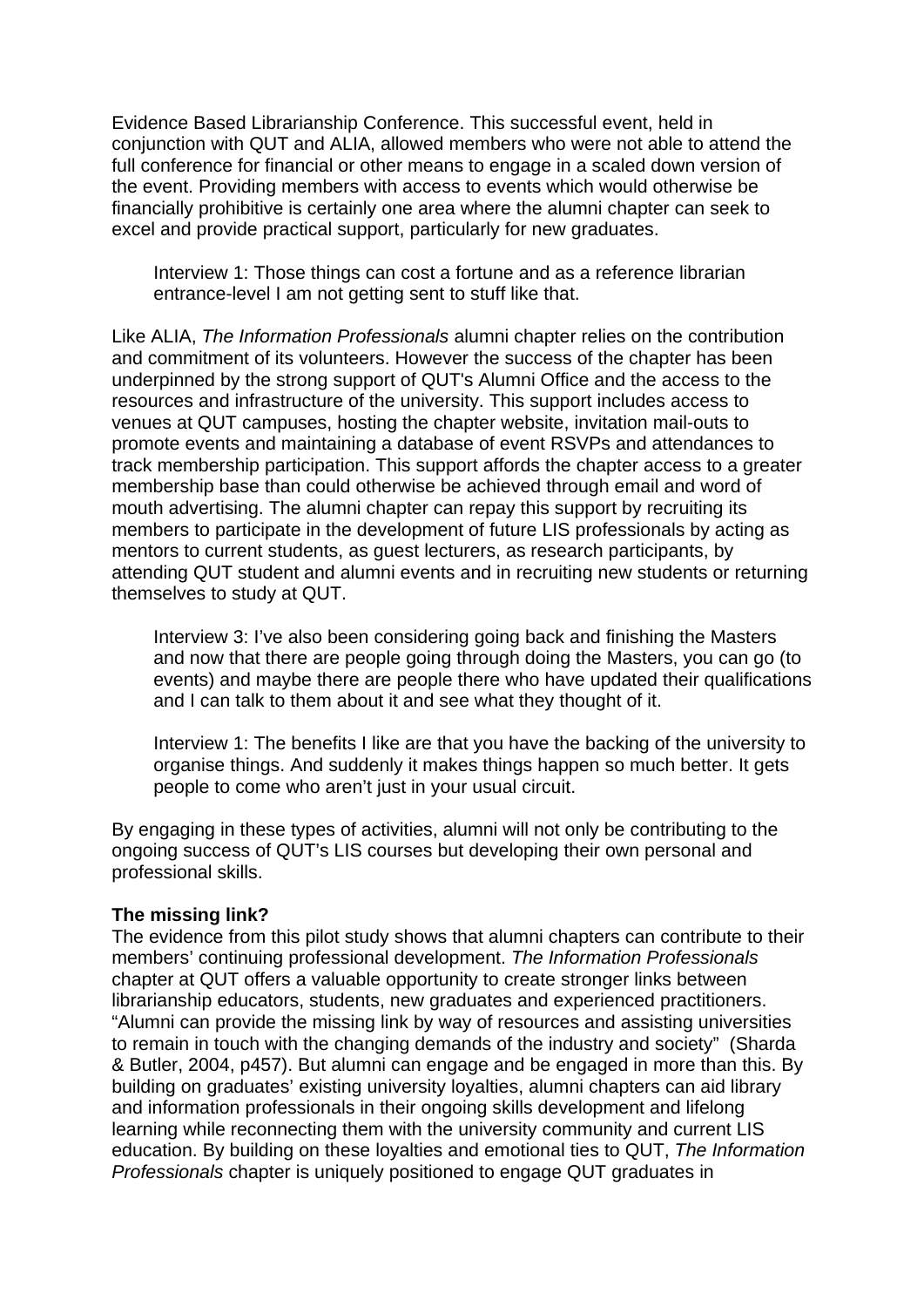Evidence Based Librarianship Conference. This successful event, held in conjunction with QUT and ALIA, allowed members who were not able to attend the full conference for financial or other means to engage in a scaled down version of the event. Providing members with access to events which would otherwise be financially prohibitive is certainly one area where the alumni chapter can seek to excel and provide practical support, particularly for new graduates.

Interview 1: Those things can cost a fortune and as a reference librarian entrance-level I am not getting sent to stuff like that.

Like ALIA, *The Information Professionals* alumni chapter relies on the contribution and commitment of its volunteers. However the success of the chapter has been underpinned by the strong support of QUT's Alumni Office and the access to the resources and infrastructure of the university. This support includes access to venues at QUT campuses, hosting the chapter website, invitation mail-outs to promote events and maintaining a database of event RSVPs and attendances to track membership participation. This support affords the chapter access to a greater membership base than could otherwise be achieved through email and word of mouth advertising. The alumni chapter can repay this support by recruiting its members to participate in the development of future LIS professionals by acting as mentors to current students, as guest lecturers, as research participants, by attending QUT student and alumni events and in recruiting new students or returning themselves to study at QUT.

Interview 3: I've also been considering going back and finishing the Masters and now that there are people going through doing the Masters, you can go (to events) and maybe there are people there who have updated their qualifications and I can talk to them about it and see what they thought of it.

Interview 1: The benefits I like are that you have the backing of the university to organise things. And suddenly it makes things happen so much better. It gets people to come who aren't just in your usual circuit.

By engaging in these types of activities, alumni will not only be contributing to the ongoing success of QUT's LIS courses but developing their own personal and professional skills.

#### **The missing link?**

The evidence from this pilot study shows that alumni chapters can contribute to their members' continuing professional development. *The Information Professionals* chapter at QUT offers a valuable opportunity to create stronger links between librarianship educators, students, new graduates and experienced practitioners. "Alumni can provide the missing link by way of resources and assisting universities to remain in touch with the changing demands of the industry and society" (Sharda & Butler, 2004, p457). But alumni can engage and be engaged in more than this. By building on graduates' existing university loyalties, alumni chapters can aid library and information professionals in their ongoing skills development and lifelong learning while reconnecting them with the university community and current LIS education. By building on these loyalties and emotional ties to QUT, *The Information Professionals* chapter is uniquely positioned to engage QUT graduates in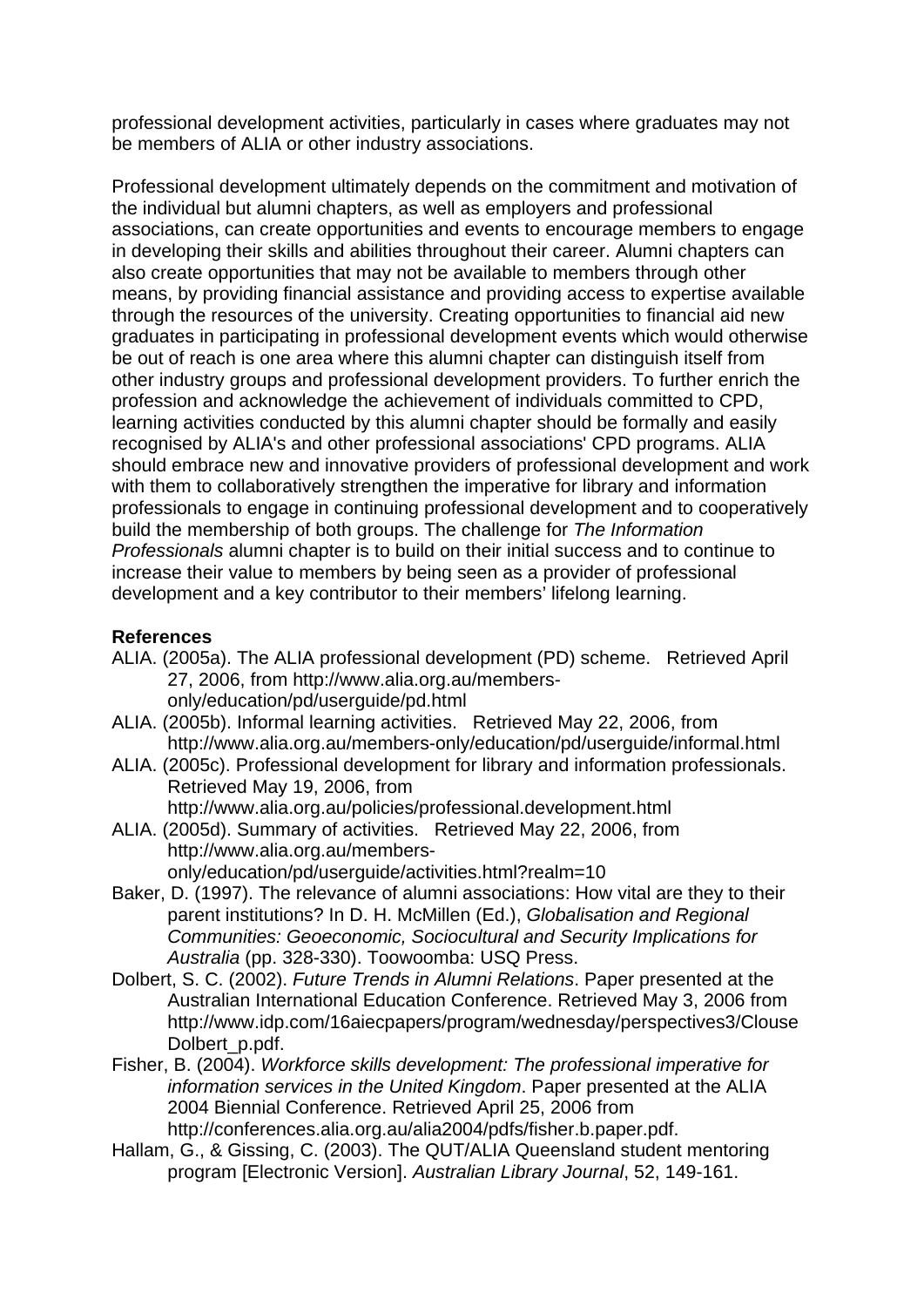professional development activities, particularly in cases where graduates may not be members of ALIA or other industry associations.

Professional development ultimately depends on the commitment and motivation of the individual but alumni chapters, as well as employers and professional associations, can create opportunities and events to encourage members to engage in developing their skills and abilities throughout their career. Alumni chapters can also create opportunities that may not be available to members through other means, by providing financial assistance and providing access to expertise available through the resources of the university. Creating opportunities to financial aid new graduates in participating in professional development events which would otherwise be out of reach is one area where this alumni chapter can distinguish itself from other industry groups and professional development providers. To further enrich the profession and acknowledge the achievement of individuals committed to CPD, learning activities conducted by this alumni chapter should be formally and easily recognised by ALIA's and other professional associations' CPD programs. ALIA should embrace new and innovative providers of professional development and work with them to collaboratively strengthen the imperative for library and information professionals to engage in continuing professional development and to cooperatively build the membership of both groups. The challenge for *The Information Professionals* alumni chapter is to build on their initial success and to continue to increase their value to members by being seen as a provider of professional development and a key contributor to their members' lifelong learning.

## **References**

- ALIA. (2005a). The ALIA professional development (PD) scheme. Retrieved April 27, 2006, from http://www.alia.org.au/membersonly/education/pd/userguide/pd.html
- ALIA. (2005b). Informal learning activities. Retrieved May 22, 2006, from http://www.alia.org.au/members-only/education/pd/userguide/informal.html
- ALIA. (2005c). Professional development for library and information professionals. Retrieved May 19, 2006, from http://www.alia.org.au/policies/professional.development.html
- ALIA. (2005d). Summary of activities. Retrieved May 22, 2006, from http://www.alia.org.au/members
	- only/education/pd/userguide/activities.html?realm=10
- Baker, D. (1997). The relevance of alumni associations: How vital are they to their parent institutions? In D. H. McMillen (Ed.), *Globalisation and Regional Communities: Geoeconomic, Sociocultural and Security Implications for Australia* (pp. 328-330). Toowoomba: USQ Press.
- Dolbert, S. C. (2002). *Future Trends in Alumni Relations*. Paper presented at the Australian International Education Conference. Retrieved May 3, 2006 from http://www.idp.com/16aiecpapers/program/wednesday/perspectives3/Clouse Dolbert\_p.pdf.
- Fisher, B. (2004). *Workforce skills development: The professional imperative for information services in the United Kingdom*. Paper presented at the ALIA 2004 Biennial Conference. Retrieved April 25, 2006 from http://conferences.alia.org.au/alia2004/pdfs/fisher.b.paper.pdf.
- Hallam, G., & Gissing, C. (2003). The QUT/ALIA Queensland student mentoring program [Electronic Version]. *Australian Library Journal*, 52, 149-161.